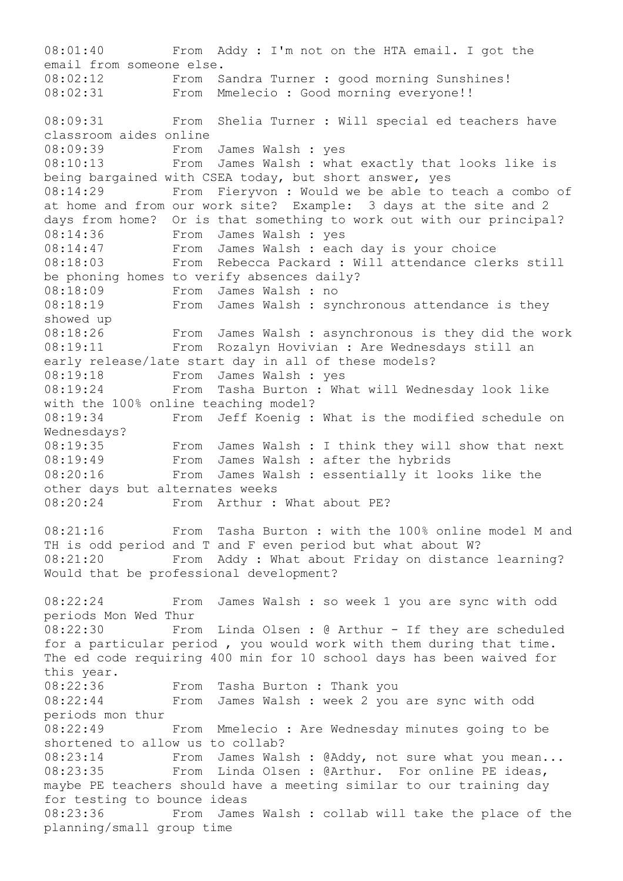08:01:40 From Addy : I'm not on the HTA email. I got the email from someone else. 08:02:12 From Sandra Turner : good morning Sunshines! 08:02:31 From Mmelecio : Good morning everyone!! 08:09:31 From Shelia Turner : Will special ed teachers have classroom aides online 08:09:39 From James Walsh : yes 08:10:13 From James Walsh : what exactly that looks like is being bargained with CSEA today, but short answer, yes 08:14:29 From Fieryvon : Would we be able to teach a combo of at home and from our work site? Example: 3 days at the site and 2 days from home? Or is that something to work out with our principal? 08:14:36 From James Walsh : yes<br>08:14:47 From James Walsh : each From James Walsh : each day is your choice 08:18:03 From Rebecca Packard : Will attendance clerks still be phoning homes to verify absences daily? 08:18:09 From James Walsh : no 08:18:19 From James Walsh : synchronous attendance is they showed up 08:18:26 From James Walsh : asynchronous is they did the work 08:19:11 From Rozalyn Hovivian : Are Wednesdays still an early release/late start day in all of these models? 08:19:18 From James Walsh : yes 08:19:24 From Tasha Burton : What will Wednesday look like with the 100% online teaching model? 08:19:34 From Jeff Koenig : What is the modified schedule on Wednesdays? 08:19:35 From James Walsh : I think they will show that next 08:19:49 From James Walsh : after the hybrids 08:20:16 From James Walsh : essentially it looks like the other days but alternates weeks 08:20:24 From Arthur : What about PE? 08:21:16 From Tasha Burton : with the 100% online model M and TH is odd period and T and F even period but what about W? 08:21:20 From Addy : What about Friday on distance learning? Would that be professional development? 08:22:24 From James Walsh : so week 1 you are sync with odd periods Mon Wed Thur 08:22:30 From Linda Olsen : @ Arthur - If they are scheduled for a particular period , you would work with them during that time. The ed code requiring 400 min for 10 school days has been waived for this year.  $08:22:36$  From Tasha Burton : Thank you<br> $08:22:44$ 08:22:44 From James Walsh : week 2 you are sync with odd periods mon thur 08:22:49 From Mmelecio : Are Wednesday minutes going to be shortened to allow us to collab? 08:23:14 From James Walsh : @Addy, not sure what you mean... 08:23:35 From Linda Olsen : @Arthur. For online PE ideas, maybe PE teachers should have a meeting similar to our training day for testing to bounce ideas 08:23:36 From James Walsh : collab will take the place of the planning/small group time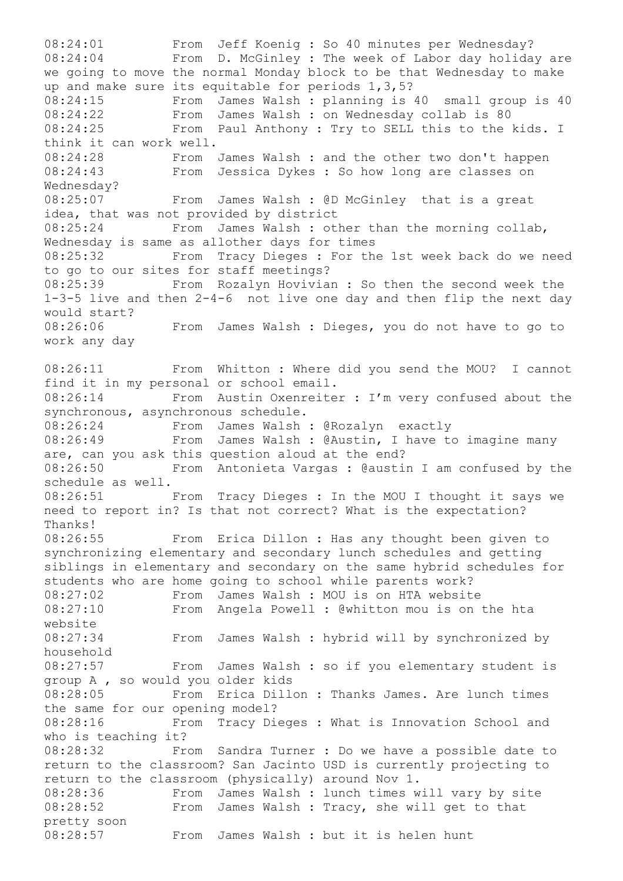08:24:01 From Jeff Koenig : So 40 minutes per Wednesday? 08:24:04 From D. McGinley : The week of Labor day holiday are we going to move the normal Monday block to be that Wednesday to make up and make sure its equitable for periods 1,3,5? 08:24:15 From James Walsh : planning is 40 small group is 40 08:24:22 From James Walsh : on Wednesday collab is 80 08:24:25 From Paul Anthony : Try to SELL this to the kids. I think it can work well. 08:24:28 From James Walsh : and the other two don't happen 08:24:43 From Jessica Dykes : So how long are classes on Wednesday? 08:25:07 From James Walsh : @D McGinley that is a great idea, that was not provided by district 08:25:24 From James Walsh : other than the morning collab, Wednesday is same as allother days for times 08:25:32 From Tracy Dieges : For the 1st week back do we need to go to our sites for staff meetings? 08:25:39 From Rozalyn Hovivian : So then the second week the 1-3-5 live and then 2-4-6 not live one day and then flip the next day would start? 08:26:06 From James Walsh : Dieges, you do not have to go to work any day 08:26:11 From Whitton : Where did you send the MOU? I cannot find it in my personal or school email. 08:26:14 From Austin Oxenreiter : I'm very confused about the synchronous, asynchronous schedule. 08:26:24 From James Walsh : @Rozalyn exactly 08:26:49 From James Walsh : @Austin, I have to imagine many are, can you ask this question aloud at the end? 08:26:50 From Antonieta Vargas : @austin I am confused by the schedule as well. 08:26:51 From Tracy Dieges : In the MOU I thought it says we need to report in? Is that not correct? What is the expectation? Thanks! 08:26:55 From Erica Dillon : Has any thought been given to synchronizing elementary and secondary lunch schedules and getting siblings in elementary and secondary on the same hybrid schedules for students who are home going to school while parents work? 08:27:02 From James Walsh : MOU is on HTA website 08:27:10 From Angela Powell : @whitton mou is on the hta website 08:27:34 From James Walsh : hybrid will by synchronized by household 08:27:57 From James Walsh : so if you elementary student is group A , so would you older kids 08:28:05 From Erica Dillon : Thanks James. Are lunch times the same for our opening model? 08:28:16 From Tracy Dieges : What is Innovation School and who is teaching it? 08:28:32 From Sandra Turner : Do we have a possible date to return to the classroom? San Jacinto USD is currently projecting to return to the classroom (physically) around Nov 1. 08:28:36 From James Walsh : lunch times will vary by site 08:28:52 From James Walsh : Tracy, she will get to that pretty soon 08:28:57 From James Walsh : but it is helen hunt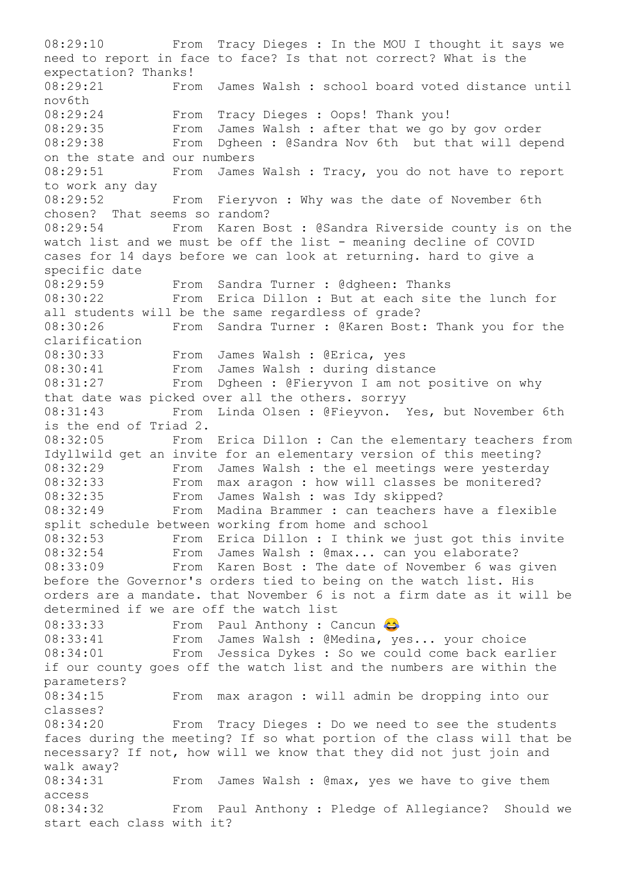08:29:10 From Tracy Dieges : In the MOU I thought it says we need to report in face to face? Is that not correct? What is the expectation? Thanks! 08:29:21 From James Walsh : school board voted distance until nov6th 08:29:24 From Tracy Dieges : Oops! Thank you! 08:29:35 From James Walsh : after that we go by gov order 08:29:38 From Dgheen : @Sandra Nov 6th but that will depend on the state and our numbers 08:29:51 From James Walsh : Tracy, you do not have to report to work any day 08:29:52 From Fieryvon : Why was the date of November 6th chosen? That seems so random? 08:29:54 From Karen Bost : @Sandra Riverside county is on the watch list and we must be off the list - meaning decline of COVID cases for 14 days before we can look at returning. hard to give a specific date 08:29:59 From Sandra Turner : @dgheen: Thanks 08:30:22 From Erica Dillon : But at each site the lunch for all students will be the same regardless of grade? 08:30:26 From Sandra Turner : @Karen Bost: Thank you for the clarification 08:30:33 From James Walsh : @Erica, yes 08:30:41 From James Walsh : during distance<br>08:31:27 From Dgheen : @Fiervvon I am not n From Dgheen : @Fieryvon I am not positive on why that date was picked over all the others. sorryy 08:31:43 From Linda Olsen : @Fieyvon. Yes, but November 6th is the end of Triad 2. 08:32:05 From Erica Dillon : Can the elementary teachers from Idyllwild get an invite for an elementary version of this meeting? 08:32:29 From James Walsh : the el meetings were yesterday 08:32:33 From max aragon : how will classes be monitered? 08:32:35 From James Walsh : was Idy skipped? 08:32:49 From Madina Brammer : can teachers have a flexible split schedule between working from home and school 08:32:53 From Erica Dillon : I think we just got this invite 08:32:54 From James Walsh : @max... can you elaborate? 08:33:09 From Karen Bost : The date of November 6 was given before the Governor's orders tied to being on the watch list. His orders are a mandate. that November 6 is not a firm date as it will be determined if we are off the watch list 08:33:33 From Paul Anthony : Cancun 08:33:41 From James Walsh : @Medina, yes... your choice 08:34:01 From Jessica Dykes : So we could come back earlier if our county goes off the watch list and the numbers are within the parameters? 08:34:15 From max aragon : will admin be dropping into our classes? 08:34:20 From Tracy Dieges : Do we need to see the students faces during the meeting? If so what portion of the class will that be necessary? If not, how will we know that they did not just join and walk away? 08:34:31 From James Walsh : @max, yes we have to give them access 08:34:32 From Paul Anthony : Pledge of Allegiance? Should we start each class with it?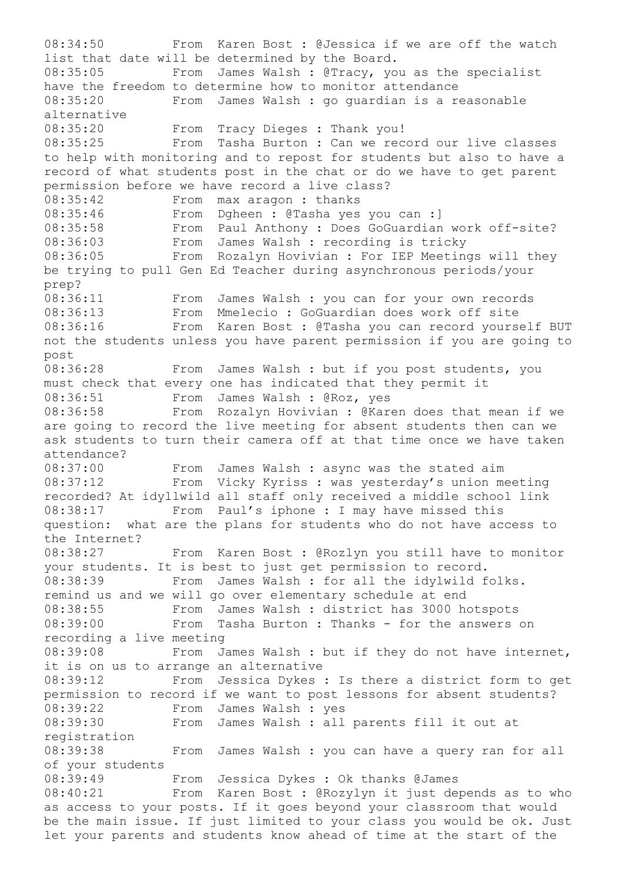08:34:50 From Karen Bost : @Jessica if we are off the watch list that date will be determined by the Board. 08:35:05 From James Walsh : @Tracy, you as the specialist have the freedom to determine how to monitor attendance 08:35:20 From James Walsh : go guardian is a reasonable alternative 08:35:20 From Tracy Dieges : Thank you! 08:35:25 From Tasha Burton : Can we record our live classes to help with monitoring and to repost for students but also to have a record of what students post in the chat or do we have to get parent permission before we have record a live class? 08:35:42 From max aragon : thanks 08:35:46 From Dgheen : @Tasha yes you can :] 08:35:58 From Paul Anthony : Does GoGuardian work off-site? 08:36:03 From James Walsh : recording is tricky 08:36:05 From Rozalyn Hovivian : For IEP Meetings will they be trying to pull Gen Ed Teacher during asynchronous periods/your prep? 08:36:11 From James Walsh : you can for your own records 08:36:13 From Mmelecio : GoGuardian does work off site 08:36:16 From Karen Bost : @Tasha you can record yourself BUT not the students unless you have parent permission if you are going to post 08:36:28 From James Walsh : but if you post students, you must check that every one has indicated that they permit it 08:36:51 From James Walsh : @Roz, yes 08:36:58 From Rozalyn Hovivian : @Karen does that mean if we are going to record the live meeting for absent students then can we ask students to turn their camera off at that time once we have taken attendance? 08:37:00 From James Walsh : async was the stated aim 08:37:12 From Vicky Kyriss : was yesterday's union meeting recorded? At idyllwild all staff only received a middle school link 08:38:17 From Paul's iphone : I may have missed this question: what are the plans for students who do not have access to the Internet? 08:38:27 From Karen Bost : @Rozlyn you still have to monitor your students. It is best to just get permission to record. 08:38:39 From James Walsh : for all the idylwild folks. remind us and we will go over elementary schedule at end 08:38:55 From James Walsh : district has 3000 hotspots 08:39:00 From Tasha Burton : Thanks - for the answers on recording a live meeting 08:39:08 From James Walsh : but if they do not have internet, it is on us to arrange an alternative 08:39:12 From Jessica Dykes : Is there a district form to get permission to record if we want to post lessons for absent students? 08:39:22 From James Walsh : yes 08:39:30 From James Walsh : all parents fill it out at registration 08:39:38 From James Walsh : you can have a query ran for all of your students 08:39:49 From Jessica Dykes : Ok thanks @James 08:40:21 From Karen Bost : @Rozylyn it just depends as to who as access to your posts. If it goes beyond your classroom that would be the main issue. If just limited to your class you would be ok. Just let your parents and students know ahead of time at the start of the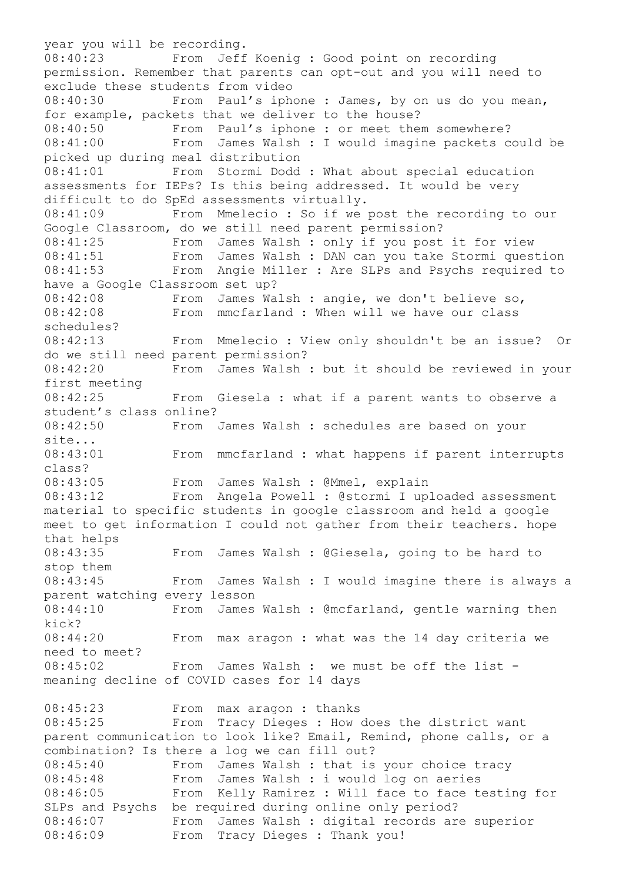year you will be recording. 08:40:23 From Jeff Koenig : Good point on recording permission. Remember that parents can opt-out and you will need to exclude these students from video 08:40:30 From Paul's iphone : James, by on us do you mean, for example, packets that we deliver to the house? 08:40:50 From Paul's iphone : or meet them somewhere? 08:41:00 From James Walsh : I would imagine packets could be picked up during meal distribution 08:41:01 From Stormi Dodd : What about special education assessments for IEPs? Is this being addressed. It would be very difficult to do SpEd assessments virtually. 08:41:09 From Mmelecio : So if we post the recording to our Google Classroom, do we still need parent permission? 08:41:25 From James Walsh : only if you post it for view 08:41:51 From James Walsh : DAN can you take Stormi question 08:41:53 From Angie Miller : Are SLPs and Psychs required to have a Google Classroom set up? 08:42:08 From James Walsh : angie, we don't believe so, 08:42:08 From mmcfarland : When will we have our class schedules? 08:42:13 From Mmelecio : View only shouldn't be an issue? Or do we still need parent permission? 08:42:20 From James Walsh : but it should be reviewed in your first meeting 08:42:25 From Giesela : what if a parent wants to observe a student's class online? 08:42:50 From James Walsh : schedules are based on your site... 08:43:01 From mmcfarland : what happens if parent interrupts class? 08:43:05 From James Walsh : @Mmel, explain 08:43:12 From Angela Powell : @stormi I uploaded assessment material to specific students in google classroom and held a google meet to get information I could not gather from their teachers. hope that helps 08:43:35 From James Walsh : @Giesela, going to be hard to stop them 08:43:45 From James Walsh : I would imagine there is always a parent watching every lesson 08:44:10 From James Walsh : @mcfarland, gentle warning then kick? 08:44:20 From max aragon : what was the 14 day criteria we need to meet? 08:45:02 From James Walsh : we must be off the list meaning decline of COVID cases for 14 days 08:45:23 From max aragon : thanks 08:45:25 From Tracy Dieges : How does the district want parent communication to look like? Email, Remind, phone calls, or a combination? Is there a log we can fill out? 08:45:40 From James Walsh : that is your choice tracy 08:45:48 From James Walsh : i would log on aeries 08:46:05 From Kelly Ramirez : Will face to face testing for SLPs and Psychs be required during online only period? 08:46:07 From James Walsh : digital records are superior 08:46:09 From Tracy Dieges : Thank you!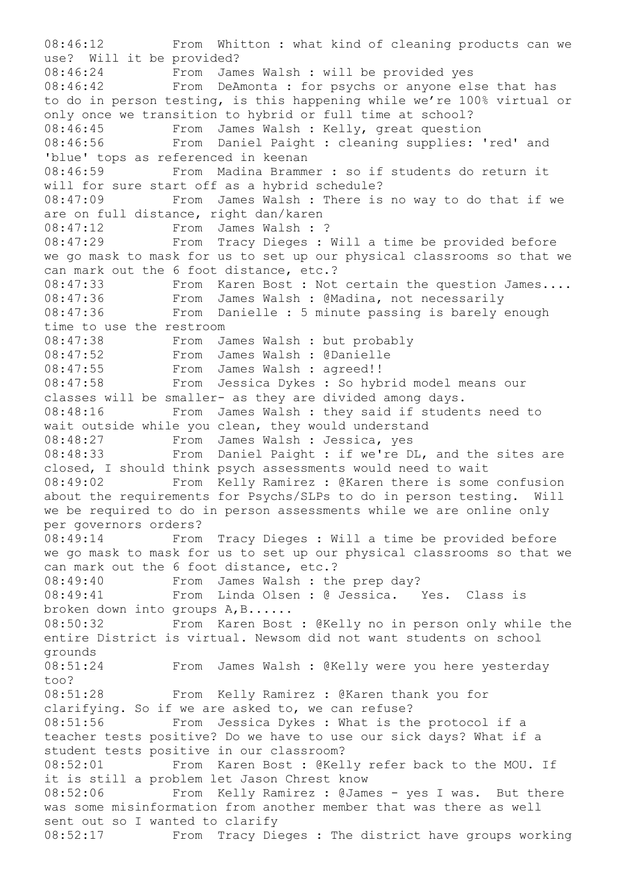08:46:12 From Whitton : what kind of cleaning products can we use? Will it be provided? 08:46:24 From James Walsh : will be provided yes 08:46:42 From DeAmonta : for psychs or anyone else that has to do in person testing, is this happening while we're 100% virtual or only once we transition to hybrid or full time at school? 08:46:45 From James Walsh : Kelly, great question 08:46:56 From Daniel Paight : cleaning supplies: 'red' and 'blue' tops as referenced in keenan 08:46:59 From Madina Brammer : so if students do return it will for sure start off as a hybrid schedule? 08:47:09 From James Walsh : There is no way to do that if we are on full distance, right dan/karen 08:47:12 From James Walsh : ?<br>08:47:29 From Tracy Dieges : I From Tracy Dieges : Will a time be provided before we go mask to mask for us to set up our physical classrooms so that we can mark out the 6 foot distance, etc.? 08:47:33 From Karen Bost : Not certain the question James.... 08:47:36 From James Walsh : @Madina, not necessarily<br>08:47:36 From Danielle : 5 minute passing is harely From Danielle : 5 minute passing is barely enough time to use the restroom 08:47:38 From James Walsh : but probably 08:47:52 From James Walsh : @Danielle 08:47:55 From James Walsh : agreed!!<br>08:47:58 From Jessica Dykes : So hvh From Jessica Dykes : So hybrid model means our classes will be smaller- as they are divided among days. 08:48:16 From James Walsh : they said if students need to wait outside while you clean, they would understand 08:48:27 From James Walsh : Jessica, yes 08:48:33 From Daniel Paight : if we're DL, and the sites are closed, I should think psych assessments would need to wait 08:49:02 From Kelly Ramirez : @Karen there is some confusion about the requirements for Psychs/SLPs to do in person testing. Will we be required to do in person assessments while we are online only per governors orders? 08:49:14 From Tracy Dieges : Will a time be provided before we go mask to mask for us to set up our physical classrooms so that we can mark out the 6 foot distance, etc.? 08:49:40 From James Walsh : the prep day? 08:49:41 From Linda Olsen : @ Jessica. Yes. Class is broken down into groups A,B...... 08:50:32 From Karen Bost : @Kelly no in person only while the entire District is virtual. Newsom did not want students on school grounds 08:51:24 From James Walsh : @Kelly were you here yesterday too? 08:51:28 From Kelly Ramirez : @Karen thank you for clarifying. So if we are asked to, we can refuse? 08:51:56 From Jessica Dykes : What is the protocol if a teacher tests positive? Do we have to use our sick days? What if a student tests positive in our classroom? 08:52:01 From Karen Bost : @Kelly refer back to the MOU. If it is still a problem let Jason Chrest know 08:52:06 From Kelly Ramirez : @James - yes I was. But there was some misinformation from another member that was there as well sent out so I wanted to clarify 08:52:17 From Tracy Dieges : The district have groups working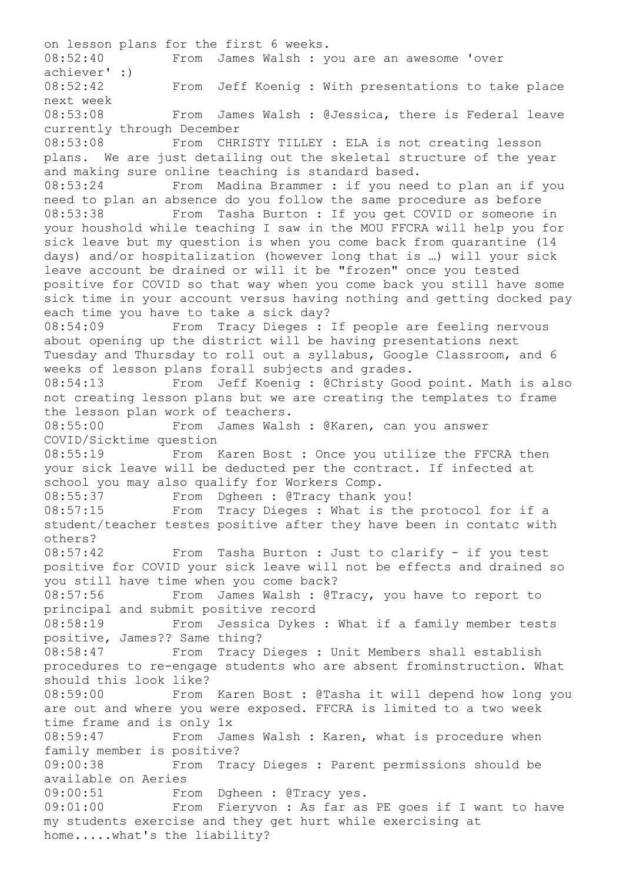on lesson plans for the first 6 weeks. 08:52:40 From James Walsh : you are an awesome 'over achiever' :) 08:52:42 From Jeff Koenig : With presentations to take place next week 08:53:08 From James Walsh : @Jessica, there is Federal leave currently through December 08:53:08 From CHRISTY TILLEY : ELA is not creating lesson plans. We are just detailing out the skeletal structure of the year and making sure online teaching is standard based. 08:53:24 From Madina Brammer : if you need to plan an if you need to plan an absence do you follow the same procedure as before 08:53:38 From Tasha Burton : If you get COVID or someone in your houshold while teaching I saw in the MOU FFCRA will help you for sick leave but my question is when you come back from quarantine (14 days) and/or hospitalization (however long that is …) will your sick leave account be drained or will it be "frozen" once you tested positive for COVID so that way when you come back you still have some sick time in your account versus having nothing and getting docked pay each time you have to take a sick day? 08:54:09 From Tracy Dieges : If people are feeling nervous about opening up the district will be having presentations next Tuesday and Thursday to roll out a syllabus, Google Classroom, and 6 weeks of lesson plans forall subjects and grades. 08:54:13 From Jeff Koenig : @Christy Good point. Math is also not creating lesson plans but we are creating the templates to frame the lesson plan work of teachers. 08:55:00 From James Walsh : @Karen, can you answer COVID/Sicktime question 08:55:19 From Karen Bost : Once you utilize the FFCRA then your sick leave will be deducted per the contract. If infected at school you may also qualify for Workers Comp. 08:55:37 From Dgheen : @Tracy thank you! 08:57:15 From Tracy Dieges : What is the protocol for if a student/teacher testes positive after they have been in contatc with others? 08:57:42 From Tasha Burton : Just to clarify - if you test positive for COVID your sick leave will not be effects and drained so you still have time when you come back? 08:57:56 From James Walsh : @Tracy, you have to report to principal and submit positive record 08:58:19 From Jessica Dykes : What if a family member tests positive, James?? Same thing? 08:58:47 From Tracy Dieges : Unit Members shall establish procedures to re-engage students who are absent frominstruction. What should this look like? 08:59:00 From Karen Bost : @Tasha it will depend how long you are out and where you were exposed. FFCRA is limited to a two week time frame and is only 1x 08:59:47 From James Walsh : Karen, what is procedure when family member is positive? 09:00:38 From Tracy Dieges : Parent permissions should be available on Aeries 09:00:51 From Dgheen : @Tracy yes. 09:01:00 From Fieryvon : As far as PE goes if I want to have my students exercise and they get hurt while exercising at home.....what's the liability?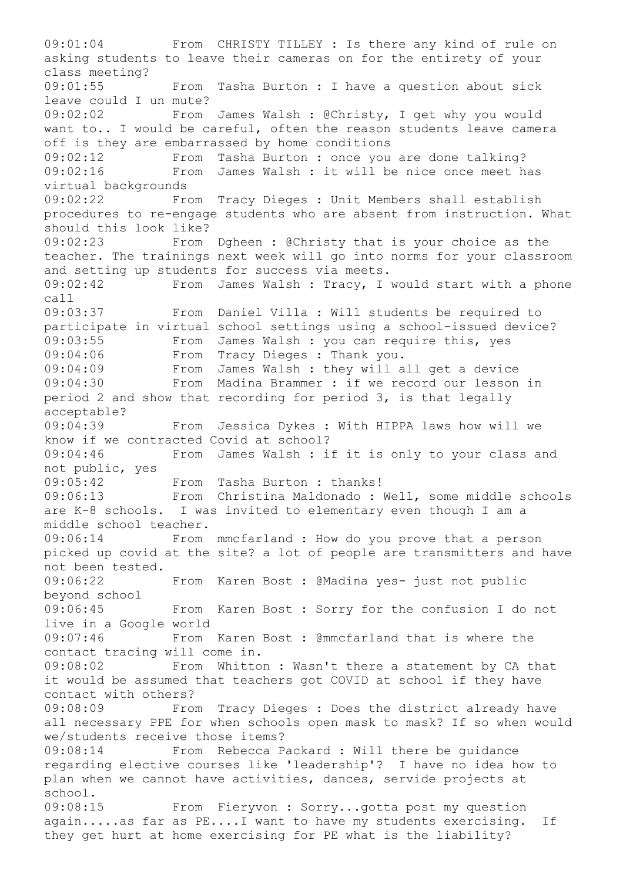09:01:04 From CHRISTY TILLEY : Is there any kind of rule on asking students to leave their cameras on for the entirety of your class meeting? 09:01:55 From Tasha Burton : I have a question about sick leave could I un mute? 09:02:02 From James Walsh : @Christy, I get why you would want to.. I would be careful, often the reason students leave camera off is they are embarrassed by home conditions 09:02:12 From Tasha Burton : once you are done talking?<br>09:02:16 From James Walsh : it will be nice once meet h From James Walsh : it will be nice once meet has virtual backgrounds 09:02:22 From Tracy Dieges : Unit Members shall establish procedures to re-engage students who are absent from instruction. What should this look like? 09:02:23 From Dgheen : @Christy that is your choice as the teacher. The trainings next week will go into norms for your classroom and setting up students for success via meets. 09:02:42 From James Walsh : Tracy, I would start with a phone call 09:03:37 From Daniel Villa : Will students be required to participate in virtual school settings using a school-issued device? 09:03:55 From James Walsh : you can require this, yes 09:04:06 From Tracy Dieges : Thank you. 09:04:09 From James Walsh : they will all get a device<br>09:04:30 From Madina Brammer : if we record our lesson From Madina Brammer : if we record our lesson in period 2 and show that recording for period 3, is that legally acceptable? 09:04:39 From Jessica Dykes : With HIPPA laws how will we know if we contracted Covid at school? 09:04:46 From James Walsh : if it is only to your class and not public, yes 09:05:42 From Tasha Burton : thanks! 09:06:13 From Christina Maldonado : Well, some middle schools are K-8 schools. I was invited to elementary even though I am a middle school teacher. 09:06:14 From mmcfarland : How do you prove that a person picked up covid at the site? a lot of people are transmitters and have not been tested. 09:06:22 From Karen Bost : @Madina yes- just not public beyond school 09:06:45 From Karen Bost : Sorry for the confusion I do not live in a Google world 09:07:46 From Karen Bost : @mmcfarland that is where the contact tracing will come in. 09:08:02 From Whitton : Wasn't there a statement by CA that it would be assumed that teachers got COVID at school if they have contact with others? 09:08:09 From Tracy Dieges : Does the district already have all necessary PPE for when schools open mask to mask? If so when would we/students receive those items? 09:08:14 From Rebecca Packard : Will there be guidance regarding elective courses like 'leadership'? I have no idea how to plan when we cannot have activities, dances, servide projects at school. 09:08:15 From Fieryvon : Sorry...gotta post my question again.....as far as PE....I want to have my students exercising. If they get hurt at home exercising for PE what is the liability?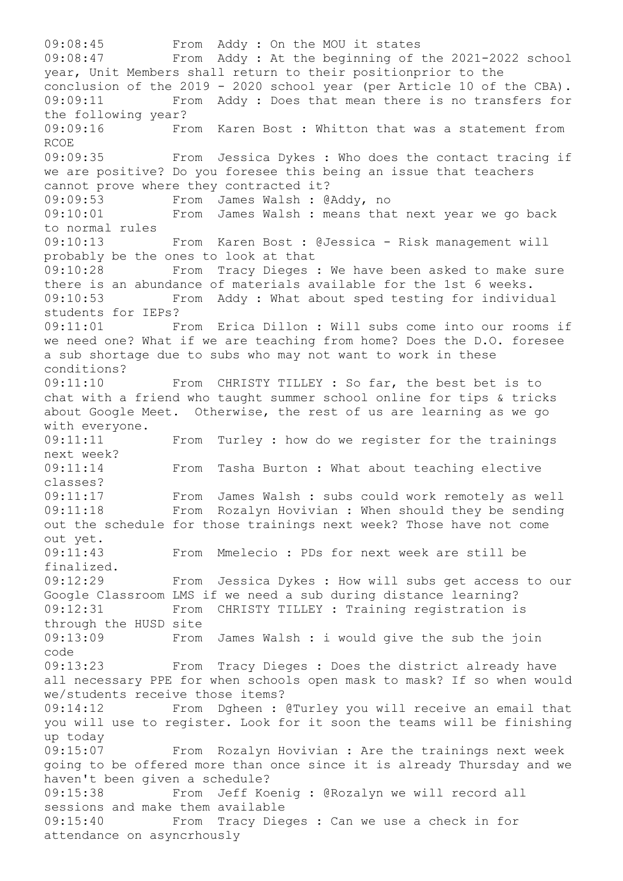09:08:45 From Addy : On the MOU it states 09:08:47 From Addy : At the beginning of the 2021-2022 school year, Unit Members shall return to their positionprior to the conclusion of the 2019 - 2020 school year (per Article 10 of the CBA). 09:09:11 From Addy : Does that mean there is no transfers for the following year? 09:09:16 From Karen Bost : Whitton that was a statement from RCOE 09:09:35 From Jessica Dykes : Who does the contact tracing if we are positive? Do you foresee this being an issue that teachers cannot prove where they contracted it? 09:09:53 From James Walsh : @Addy, no 09:10:01 From James Walsh : means that next year we go back to normal rules 09:10:13 From Karen Bost : @Jessica - Risk management will probably be the ones to look at that 09:10:28 From Tracy Dieges : We have been asked to make sure there is an abundance of materials available for the 1st 6 weeks. 09:10:53 From Addy : What about sped testing for individual students for IEPs? 09:11:01 From Erica Dillon : Will subs come into our rooms if we need one? What if we are teaching from home? Does the D.O. foresee a sub shortage due to subs who may not want to work in these conditions? 09:11:10 From CHRISTY TILLEY : So far, the best bet is to chat with a friend who taught summer school online for tips & tricks about Google Meet. Otherwise, the rest of us are learning as we go with everyone. 09:11:11 From Turley : how do we register for the trainings next week? 09:11:14 From Tasha Burton : What about teaching elective classes? 09:11:17 From James Walsh : subs could work remotely as well 09:11:18 From Rozalyn Hovivian : When should they be sending out the schedule for those trainings next week? Those have not come out yet. 09:11:43 From Mmelecio : PDs for next week are still be finalized. 09:12:29 From Jessica Dykes : How will subs get access to our Google Classroom LMS if we need a sub during distance learning? 09:12:31 From CHRISTY TILLEY : Training registration is through the HUSD site 09:13:09 From James Walsh : i would give the sub the join code 09:13:23 From Tracy Dieges : Does the district already have all necessary PPE for when schools open mask to mask? If so when would we/students receive those items? 09:14:12 From Dgheen : @Turley you will receive an email that you will use to register. Look for it soon the teams will be finishing up today 09:15:07 From Rozalyn Hovivian : Are the trainings next week going to be offered more than once since it is already Thursday and we haven't been given a schedule? 09:15:38 From Jeff Koenig : @Rozalyn we will record all sessions and make them available 09:15:40 From Tracy Dieges : Can we use a check in for attendance on asyncrhously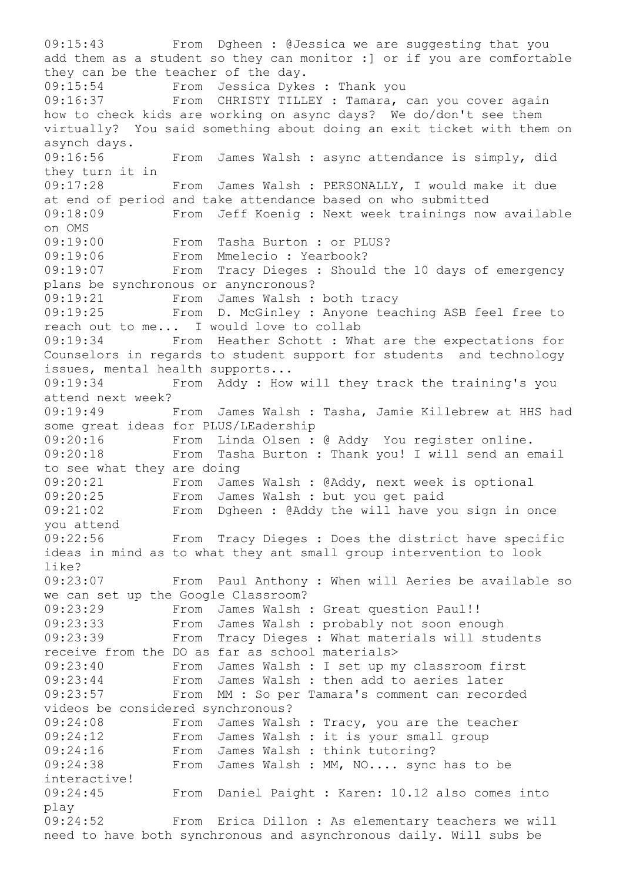09:15:43 From Dgheen : @Jessica we are suggesting that you add them as a student so they can monitor :] or if you are comfortable they can be the teacher of the day. 09:15:54 From Jessica Dykes : Thank you 09:16:37 From CHRISTY TILLEY : Tamara, can you cover again how to check kids are working on async days? We do/don't see them virtually? You said something about doing an exit ticket with them on asynch days. 09:16:56 From James Walsh : async attendance is simply, did they turn it in 09:17:28 From James Walsh : PERSONALLY, I would make it due at end of period and take attendance based on who submitted 09:18:09 From Jeff Koenig : Next week trainings now available on OMS 09:19:00 From Tasha Burton : or PLUS? 09:19:06 From Mmelecio : Yearbook? 09:19:07 From Tracy Dieges : Should the 10 days of emergency plans be synchronous or anyncronous? 09:19:21 From James Walsh : both tracy 09:19:25 From D. McGinley : Anyone teaching ASB feel free to reach out to me... I would love to collab 09:19:34 From Heather Schott : What are the expectations for Counselors in regards to student support for students and technology issues, mental health supports... 09:19:34 From Addy : How will they track the training's you attend next week? 09:19:49 From James Walsh : Tasha, Jamie Killebrew at HHS had some great ideas for PLUS/LEadership 09:20:16 From Linda Olsen : @ Addy You register online. 09:20:18 From Tasha Burton : Thank you! I will send an email to see what they are doing 09:20:21 From James Walsh : @Addy, next week is optional 09:20:25 From James Walsh : but you get paid 09:21:02 From Dgheen : @Addy the will have you sign in once you attend 09:22:56 From Tracy Dieges : Does the district have specific ideas in mind as to what they ant small group intervention to look like? 09:23:07 From Paul Anthony : When will Aeries be available so we can set up the Google Classroom? 09:23:29 From James Walsh : Great question Paul!! 09:23:33 From James Walsh : probably not soon enough 09:23:39 From Tracy Dieges : What materials will students receive from the DO as far as school materials> 09:23:40 From James Walsh : I set up my classroom first 09:23:44 From James Walsh : then add to aeries later 09:23:57 From MM : So per Tamara's comment can recorded videos be considered synchronous? 09:24:08 From James Walsh : Tracy, you are the teacher 09:24:12 From James Walsh : it is your small group 09:24:16 From James Walsh : think tutoring? 09:24:38 From James Walsh : MM, NO.... sync has to be interactive! 09:24:45 From Daniel Paight : Karen: 10.12 also comes into play 09:24:52 From Erica Dillon : As elementary teachers we will need to have both synchronous and asynchronous daily. Will subs be